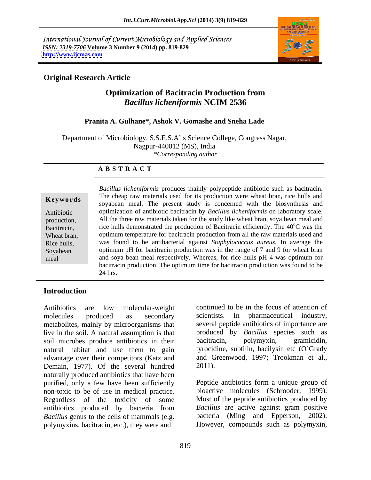International Journal of Current Microbiology and Applied Sciences *ISSN: 2319-7706* **Volume 3 Number 9 (2014) pp. 819-829 <http://www.ijcmas.com>**



## **Original Research Article**

# **Optimization of Bacitracin Production from**  *Bacillus licheniformis* **NCIM 2536**

### **Pranita A. Gulhane\*, Ashok V. Gomashe and Sneha Lade**

Department of Microbiology, S.S.E.S.A' s Science College, Congress Nagar, Nagpur-440012 (MS), India *\*Corresponding author* 

### **A B S T R A C T**

**Keywords** The cheap raw materials used for its production were wheat bran, rice huns and soyabean meal. The present study is concerned with the biosynthesis and Antibiotic optimization of antibiotic bacitracin by *Bacillus licheniformis* on laboratory scale. production, All the three raw materials taken for the study like wheat bran, soya bean meal and Bacitracin, The 40<sup>o</sup>C was the rice hulls demonstrated the production of Bacitracin efficiently. The  $40^{\circ}$ C was the Wheat bran, optimum temperature for bacitracin production from all the raw materials used and Rice hulls, was found to be antibacterial against *Staphylococcus aureus.* In average the Soyabean optimum pH for bacitracin production was in the range of 7 and 9 for wheat bran meal and soya bean meal respectively. Whereas, for rice hulls pH 4 was optimum for *Bacillus licheniformis* produces mainly polypeptide antibiotic such as bacitracin. The cheap raw materials used for its production were wheat bran, rice hulls and  ${}^{0}C$  was the bacitracin production. The optimum time for bacitracin production was found to be 24 hrs.

# **Introduction**

molecules produced as secondary scientists. In pharmaceutical industry,<br>metabolites, mainly by microorganisms that several peptide antibiotics of importance are metabolites, mainly by microorganisms that live in the soil. A natural assumption is that produced by Bacillus sp<br>soil microbes produce antibiotics in their bacitracin, polymyxin, soil microbes produce antibiotics in their bacitracin, polymyxin, gramicidin, natural habitat and use them to gain tyrocidine, subtilin, bacilysin etc (O'Grady advantage over their competitors (Katz and Demain, 1977). Of the several hundred 2011). naturally produced antibiotics that have been purified, only a few have been sufficiently non-toxic to be of use in medical practice. Regardless of the toxicity of some antibiotics produced by bacteria from *Bacillus* genus to the cells of mammals (e.g. polymyxins, bacitracin, etc.), they were and However, compounds such as polymyxin,

Antibiotics are low molecular-weight continued to be in the focus of attention of continued to be in the focus of attention of scientists. In pharmaceutical industry,<br>several peptide antibiotics of importance are produced by *Bacillus* species such as bacitracin, polymyxin, gramicidin, and Greenwood, 1997; Trookman et al., 2011).

> Peptide antibiotics form a unique group of bioactive molecules (Schrooder, 1999). Most of the peptide antibiotics produced by *Bacillus* are active against gram positive bacteria (Ming and Epperson, 2002).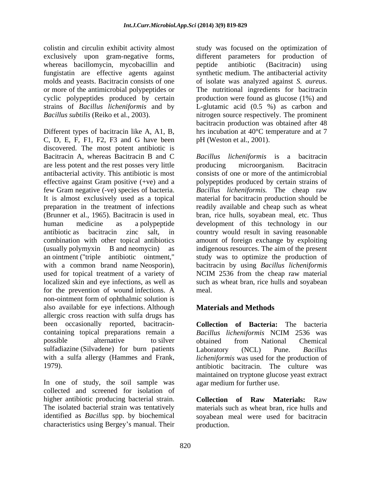whereas bacillomycin, mycobacillin and peptide antibiotic (Bacitracin) using molds and yeasts. Bacitracin consists of one of isolate was analyzed against S. *aureus*. or more of the antimicrobial polypeptides or<br>
cyclic polypeptides produced by certain<br>
production were found as glucose (1%) and

Different types of bacitracin like A, A1, B, C, D, E, F, F1, F2, F3 and G have been discovered. The most potent antibiotic is Bacitracin A, whereas Bacitracin B and C are less potent and the rest posses very little antibacterial activity. This antibiotic is most consists of one or more of the antimicrobial effective against Gram positive (+ve) and a polypeptides produced by certain strains of few Gram negative (-ve) species of bacteria. *Bacillus licheniformis.* The cheap raw It is almost exclusively used as a topical material for bacitracin production should be preparation in the treatment of infections readily available and cheap such as wheat (Brunner et al., 1965). Bacitracin is used in bran, rice hulls, soyabean meal, etc. Thus human medicine as a polypeptide development of this technology in our antibiotic as bacitracin zinc salt, in country would result in saving reasonable combination with other topical antibiotics amount of foreign exchange by exploiting (usually polymyxin B and neomycin) as indigenous resources. The aim of the present an ointment ("triple antibiotic ointment," with a common brand name Neosporin), bacitracin by using *Bacillus licheniformis*  used for topical treatment of a variety of NCIM 2536 from the cheap raw material localized skin and eye infections, as well as such as wheat bran, rice hulls and soyabean for the prevention of wound infections. A non-ointment form of ophthalmic solution is also available for eye infections. Although allergic cross reaction with sulfa drugs has been occasionally reported, bacitracin- **Collection of Bacteria:** The bacteria containing topical preparations remain a *Bacillus licheniformis* NCIM 2536 was possible alternative to silver obtained from National Chemical sulfadiazine (Silvadene) for burn patients Laboratory (NCL) Pune. Bacillus with a sulfa allergy (Hammes and Frank, *licheniformis* was used for the production of

In one of study, the soil sample was collected and screened for isolation of higher antibiotic producing bacterial strain. Collection of Raw Materials: Raw The isolated bacterial strain was tentatively identified as *Bacillus* spp. by biochemical soyabean meal were used for bacitracin characteristics using Bergey's manual. Their

colistin and circulin exhibit activity almost study was focused on the optimization of exclusively upon gram-negative forms, different parameters for production of fungistatin are effective agents against synthetic medium. The antibacterial activity cyclic polypeptides produced by certain production were found as glucose (1%) and strains of *Bacillus licheniformis* and by L-glutamic acid (0.5 %) as carbon and *Bacillus subtilis* (Reiko et al., 2003). nitrogen source respectively. The prominent peptide antibiotic (Bacitracin) using of isolate was analyzed against *S. aureus*. The nutritional ingredients for bacitracin bacitracin production was obtained after 48 hrs incubation at 40°C temperature and at 7 pH (Weston et al., 2001).

> *Bacillus licheniformis* is a bacitracin producing microorganism*.* Bacitracin study was to optimize the production of meal.

# **Materials and Methods**

1979). antibiotic bacitracin. The culture was obtained from National Chemical Laboratory (NCL) Pune. *Bacillus*  maintained on tryptone glucose yeast extract agar medium for further use.

> **Collection of Raw Materials:** materials such as wheat bran, rice hulls and production.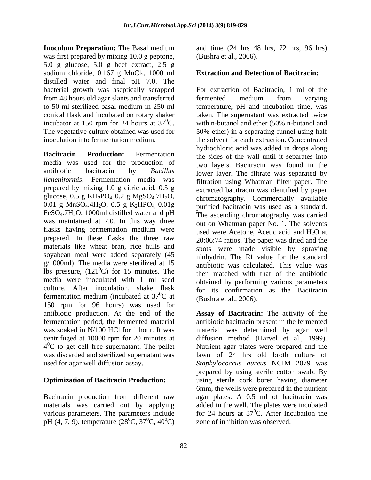**Inoculum Preparation:** The Basal medium and time (24 hrs 48 hrs, 72 hrs, 96 hrs) was first prepared by mixing 10.0 g peptone, 5.0 g glucose, 5.0 g beef extract, 2.5 g sodium chloride,  $0.167$  g MnCl<sub>2</sub>, 1000 ml distilled water and final pH 7.0. The bacterial growth was aseptically scrapped from 48 hours old agar slants and transferred incubator at 150 rpm for 24 hours at  $37^{\circ}$ C.

media was used for the production of *licheniformis*. Fermentation media was prepared by mixing 1.0 g citric acid, 0.5 g glucose,  $0.5$  g KH<sub>2</sub>PO<sub>4</sub>,  $0.2$  g MgSO<sub>4</sub>.7H<sub>2</sub>O,  $0.01$  g MnSO<sub>4</sub>.4H<sub>2</sub>O,  $0.5$  g K<sub>2</sub>HPO<sub>4</sub>,  $0.01$ g FeSO4.7H2O, 1000ml distilled water and pH was maintained at 7.0. In this way three flasks having fermentation medium were used were Acetone. Acetic acid and H<sub>2</sub>O at prepared. In these flasks the three raw materials like wheat bran, rice hulls and soyabean meal were added separately (45 g/1000ml). The media were sterilized at 15 lbs pressure,  $(121^0C)$  for 15 minutes. The media were inoculated with 1 ml seed culture. After inoculation, shake flask 150 rpm for 96 hours) was used for was discarded and sterilized supernatant was used for agar well diffusion assay.

materials was carried out by applying pH (4, 7, 9), temperature ( $28^{\circ}$ C,  $37^{\circ}$ C,  $40^{\circ}$ C) (Bushra et al., 2006).

# **Extraction and Detection of Bacitracin:**

to 50 ml sterilized basal medium in 250 ml temperature, pH and incubation time, was conical flask and incubated on rotary shaker taken. The supernatant was extracted twice  ${}^{0}C$ . with n-butanol and ether (50% n-butanol and The vegetative culture obtained was used for 50% ether) in a separating funnel using half inoculation into fermentation medium. the solvent for each extraction. Concentrated **Bacitracin** Production: Fermentation the sides of the wall until it separates into antibiotic bacitracin by *Bacillus*  lower layer. The filtrate was separated by  $0.01$  g MnSO<sub>4</sub>.4H<sub>2</sub>O,  $0.5$  g K<sub>2</sub>HPO<sub>4</sub>,  $0.01$ g purified bacitracin was used as a standard. fermentation medium (incubated at  $37^0C$  at (Bushra et al. 2006) For extraction of Bacitracin, 1 ml of the fermented medium from varying hydrochloric acid was added in drops along two layers. Bacitracin was found in the filtration using Whatman filter paper. The extracted bacitracin was identified by paper chromatography. Commercially available The ascending chromatography was carried out on Whatman paper No. 1. The solvents used were Acetone, Acetic acid and  $H_2O$  at 20:06:74 ratios. The paper was dried and the spots were made visible by spraying ninhydrin. The Rf value for the standard antibiotic was calculated. This value was then matched with that of the antibiotic obtained by performing various parameters for its confirmation as the Bacitracin (Bushra et al., 2006).

antibiotic production. At the end of the **Assay of Bacitracin:** The activity of the fermentation period, the fermented material antibiotic bacitracin present in the fermented was soaked in N/100 HCl for 1 hour.It was material was determined by agar well centrifuged at 10000 rpm for 20 minutes at diffusion method (Harvel et al., 1999).  $4<sup>0</sup>C$  to get cell free supernatant. The pellet Nutrient agar plates were prepared and the **Optimization of Bacitracin Production:** using sterile cork borer having diameter Bacitracin production from different raw agar plates. A 0.5 ml of bacitracin was various parameters. The parameters include  $\qquad$  for 24 hours at 37<sup>o</sup>C. After incubation the  ${}^{0}C$ , 37 ${}^{0}C$ , 40 ${}^{0}C$ ) zone of inhibition was observed. lawn of 24 hrs old broth culture of *Staphylococcus aureus* NCIM 2079 was prepared by using sterile cotton swab. By 6mm, the wells were prepared in the nutrient added in the well. The plates were incubated  ${}^{0}C$ . After incubation the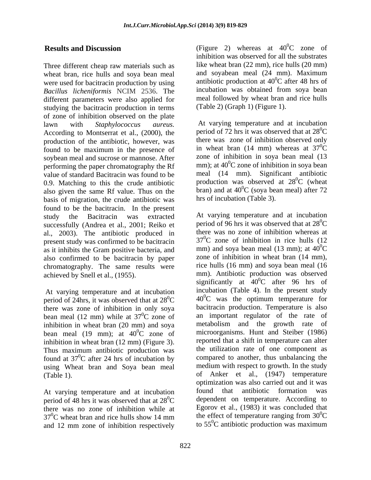Three different cheap raw materials such as wheat bran, rice hulls and soya bean meal were used for bacitracin production by using *Bacillus licheniformis* NCIM 2536. The different parameters were also applied for studying the bacitracin production in terms of zone of inhibition observed on the plate<br>lawn with Staphylococcus aureus. lawn with *Staphylococcus aureus.* At varying temperature and at incubation According to Montserrat et al., (2000), the production of the antibiotic, however, was found to be maximum in the presence of soybean meal and sucrose or mannose. After performing the paper chromatography the Rf value of standard Bacitracin was found to be 0.9. Matching to this the crude antibiotic also given the same Rf value. Thus on the basis of migration, the crude antibiotic was found to be the bacitracin. In the present successfully (Andrea et al., 2001; Reiko et al., 2003). The antibiotic produced in present study was confirmed to be bacitracin as it inhibits the Gram positive bacteria, and also confirmed to be bacitracin by paper chromatography. The same results were

At varying temperature and at incubation period of 24hrs, it was observed that at  $28^{\circ}$ C there was zone of inhibition in only soya bean meal (12 mm) while at  $37^0C$  zone of an important regulator of the rate of inhibition in wheat bran (20 mm) and sova inhibition in wheat bran (20 mm) and soya bean meal (19 mm); at  $40^{\circ}$ C zone of inhibition in wheat bran (12 mm) (Figure 3). Thus maximum antibiotic production was found at  $37^0$ C after 24 hrs of incubation by using Wheat bran and Soya bean meal

period of 48 hrs it was observed that at  $28^{\circ}$ C there was no zone of inhibition while at and 12 mm zone of inhibition respectively

**Results and Discussion** (Figure 2) whereas at 40<sup>o</sup>C zone of  ${}^{0}C$  zone of inhibition was observed for all the substrates like wheat bran (22 mm), rice hulls (20 mm) and soyabean meal (24 mm). Maximum antibiotic production at  $40^0$ C after 48 hrs of  ${}^{0}C$  after 48 hrs of incubation was obtained from soya bean meal followed by wheat bran and rice hulls (Table 2) (Graph 1) (Figure 1).

> period of 72 hrs it was observed that at  $28^{\circ}$ C  ${}^{0}C$ there was zone of inhibition observed only in wheat bran (14 mm) whereas at  $37^{\circ}$ C  ${}^{0}C$ zone of inhibition in soya bean meal (13 mm); at  $40^{\circ}$ C zone of inhibition in soya bean meal (14 mm). Significant antibiotic production was observed at  $28^{\circ}$ C (wheat  ${}^{0}C$  (wheat bran) and at  $40^{\circ}$ C (soya bean meal) after 72  ${}^{0}C$  (soya bean meal) after 72 hrs of incubation (Table 3).

study the Bacitracin was extracted At varying temperature and at incubation achieved by Snell et al., (1955). mm). Antibiotic production was observed  $^{0}C$  40<sup>o</sup>C was the optimum temperature for  ${}^{0}C$  zone of an important regulator of the rate of  ${}^{0}$ C zone of microorganisms. Hunt and Steiber (1986)  ${}^{0}C$  after 24 hrs of incubation by compared to another, thus unbalancing the (Table 1). of Anker et al., (1947) temperature At varying temperature and at incubation found that antibiotic formation was  ${}^{0}C$  dependent on temperature. According to  $37^0$ C wheat bran and rice hulls show 14 mm the effect of temperature ranging from  $30^0$ C period of 96 hrs it was observed that at  $28^{\circ}$ C  ${}^{0}C$ there was no zone of inhibition whereas at  $37^0$ C zone of inhibition in rice hulls (12) mm) and soya bean meal (13 mm); at  $40^{\circ}$ C  ${}^{0}C$ zone of inhibition in wheat bran (14 mm), rice hulls (16 mm) and soya bean meal (16 significantly at  $40^{\circ}$ C after 96 hrs of  ${}^{0}C$  after 96 hrs of incubation (Table 4). In the present study bacitracin production. Temperature is also metabolism and the growth rate reported that a shift in temperature can alter the utilization rate of one component as medium with respect to growth. In the study optimization was also carried out and it was found that antibiotic formation Egorov et al., (1983) it was concluded that the effect of temperature ranging from  $30^0C$  ${}^{0}C$ to  $55^{\circ}$ C antibiotic production was maximum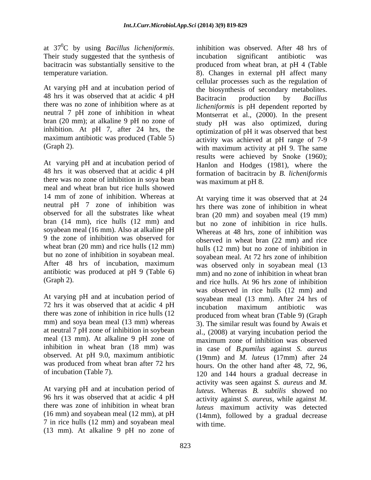at  $37^0C$  by using *Bacillus licheniformis*. at 37<sup>0</sup>C by using *Bacillus licheniformis*. inhibition was observed. After 48 hrs of<br>Their study suggested that the synthesis of incubation significant antibiotic was

At varying pH and at incubation period of 48 hrs it was observed that at acidic 4 pH Bacitracin production by Bacillus there was no zone of inhibition where as at neutral 7 pH zone of inhibition in wheat inhibition. At pH 7, after 24 hrs, the maximum antibiotic was produced (Table 5)

48 hrs it was observed that at acidic 4 pH there was no zone of inhibition in soya bean meal and wheat bran but rice hulls showed 14 mm of zone of inhibition. Whereas at neutral pH 7 zone of inhibition was observed for all the substrates like wheat bran (14 mm), rice hulls (12 mm) and soyabean meal (16 mm). Also at alkaline pH wheat bran (20 mm) and rice hulls (12 mm)

At varying pH and at incubation period of 72 hrs it was observed that at acidic 4 pH incubation maximum antibiotic was there was zone of inhibition in rice hulls (12 mm) and soya bean meal (13 mm) whereas at neutral 7 pH zone of inhibition in soybean observed. At pH 9.0, maximum antibiotic was produced from wheat bran after 72 hrs

At varying pH and at incubation period of 96 hrs it was observed that at acidic 4 pH there was zone of inhibition in wheat bran 7 in rice hulls (12 mm) and soyabean meal (13 mm). At alkaline 9 pH no zone of

bacitracin was substantially sensitive to the produced from wheat bran, at pH 4 (Table temperature variation. 8). Changes in external pH affect many bran (20 mm); at alkaline 9 pH no zone of study pH was also optimized, during (Graph 2).  $\overrightarrow{O}$  with maximum activity at pH 9. The same exalts were achieved by Snoke (1960);<br>At varying pH and at incubation period of Hanlon and Hodges (1981) where the inhibition was observed. After 48 hrs of incubation significant antibiotic was cellular processes such as the regulation of the biosynthesis of secondary metabolites. Bacitracin production by *Bacillus licheniformis* is pH dependent reported by Montserrat et al., (2000). In the present optimization of pH it was observed that best activity was achieved at pH range of 7-9 results were achieved by Snoke (1960); Hanlon and Hodges (1981), where the formation of bacitracin by *B. licheniformis* was maximum at pH 8.

9 the zone of inhibition was observed for observed in wheat bran (22 mm) and rice but no zone of inhibition in soyabean meal.<br>After 48 hrs of incubation, maximum was observed only in soyabean meal (13 antibiotic was produced at pH 9 (Table 6) mm) and no zone of inhibition in wheat bran (Graph 2). and rice hulls. At 96 hrs zone of inhibition meal (13 mm). At alkaline 9 pH zone of maximum zone of inhibition was observed inhibition in wheat bran (18 mm) was in case of *B.pumilus* against *S. aureus* of incubation (Table 7). 120 and 144 hours a gradual decrease in (16 mm) and soyabean meal (12 mm), at pH (14mm), followed by a gradual decrease At varying time it was observed that at 24 hrs there was zone of inhibition in wheat bran (20 mm) and soyaben meal (19 mm) but no zone of inhibition in rice hulls. Whereas at 48 hrs, zone of inhibition was hulls (12 mm) but no zone of inhibition in soyabean meal. At 72 hrs zone of inhibition was observed only in soyabean meal (13 was observed in rice hulls (12 mm) and soyabean meal (13 mm). After 24 hrs of incubation maximum antibiotic was produced from wheat bran (Table 9) (Graph 3). The similar result was found by Awais et al., (2008) at varying incubation period the (19mm) and *M. luteus* (17mm) after 24 hours. On the other hand after 48, 72, 96, activity was seen against *S. aureus* and *M. luteus*. Whereas *B. subtilis* showed no activity against *S. aureus,* while against *M. luteus* maximum activity was detected with time.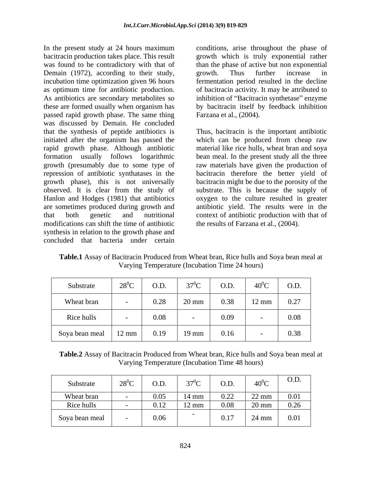In the present study at 24 hours maximum conditions, arise throughout the phase of bacitracin production takes place. This result growth which is truly exponential rather was found to be contradictory with that of than the phase of active but non exponential Demain (1972), according to their study, growth. Thus further increase in incubation time optimization given 96 hours as optimum time for antibiotic production.  $\qquad$  of bacitracin activity. It may be attributed to As antibiotics are secondary metabolites so inhibition of "Bacitracin synthetase" enzyme these are formed usually when organism has by bacitracin itself by feedback inhibition passed rapid growth phase. The same thing Farzana et al., (2004). was discussed by Demain. He concluded that the synthesis of peptide antibiotics is initiated after the organism has passed the which can be produced from cheap raw rapid growth phase. Although antibiotic material like rice hulls, wheat bran and soya formation usually follows logarithmic bean meal. In the present study all the three growth (presumably due to some type of raw materials have given the production of repression of antibiotic synthatases in the bacitracin therefore the better yield of growth phase), this is not universally bacitracin might be due to the porosity of the observed. It is clear from the study of substrate. This is because the supply of Hanlon and Hodges (1981) that antibiotics oxygen to the culture resulted in greater are sometimes produced during growth and antibiotic yield. The results were in the that both genetic and nutritional context of antibiotic production with that of modifications can shift the time of antibiotic synthesis in relation to the growth phase and concluded that bacteria under certain

growth. Thus further increase in fermentation period resulted in the decline

Farzana et al., (2004). Thus, bacitracin is the important antibiotic the results of Farzana et al., (2004).

**Table.1** Assay of Bacitracin Produced from Wheat bran, Rice hulls and Soya bean meal at Varying Temperature (Incubation Time 24 hours)

| Substrate                        | $28^0C$ | O.D. | 270 <sub>C</sub> | O.D. | $40^0C$         | O.D. |
|----------------------------------|---------|------|------------------|------|-----------------|------|
| Wheat bran                       |         | 0.28 | $20 \text{ mm}$  | 0.38 | $12 \text{ mm}$ | 0.27 |
| Rice hulls                       |         | 0.08 |                  | 0.09 |                 | 0.08 |
| Soya bean meal   $12 \text{ mm}$ |         | 0.19 | $19 \text{ mm}$  | 0.16 |                 | 0.38 |

**Table.2** Assay of Bacitracin Produced from Wheat bran, Rice hulls and Soya bean meal at Varying Temperature (Incubation Time 48 hours)

| Substrate<br>28°C<br>— — |      |                          | O.D. | <b>Contract Contract</b><br>$40^0C$ | O.D. |
|--------------------------|------|--------------------------|------|-------------------------------------|------|
| Wheat bran               | U.UJ | $14 \text{ mm}$          | 0.22 | $22 \text{ mm}$<br>22 MH            | 0.01 |
| Rice hulls               |      | $12 \text{ mm}$<br>17 TH | 0.08 | $20 \text{ mm}$                     | 0.26 |
| Soya bean meal           | 0.06 | ___                      | 0.17 | 24 mm                               | 0.01 |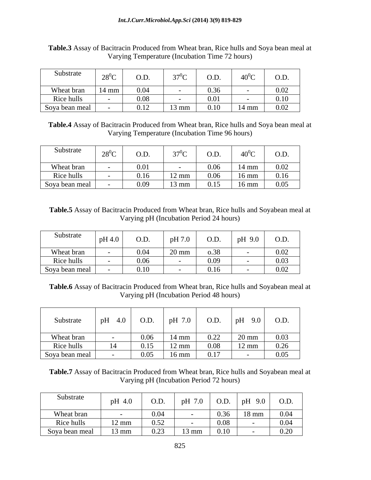| Substrate              | $28^0C$         | $\cap$ $\Gamma$<br>J.D. |                 | $\cap$ $\Gamma$ |                 | O.D. |
|------------------------|-----------------|-------------------------|-----------------|-----------------|-----------------|------|
| Wheat bran             | $14 \text{ mm}$ | 0.04<br>$v \cdot v$     |                 | 0.2<            |                 | 0.02 |
| Rice hulls             |                 | ስ ስዩ<br>v.vo            |                 | 0.01            |                 | 0.10 |
| $\vert$ Soya bean meal |                 | 0.12                    | $13 \text{ mm}$ | 0.10            | $14 \text{ mm}$ | 0.02 |

**Table.3** Assay of Bacitracin Produced from Wheat bran, Rice hulls and Soya bean meal at Varying Temperature (Incubation Time 72 hours)

**Table.4** Assay of Bacitracin Produced from Wheat bran, Rice hulls and Soya bean meal at Varying Temperature (Incubation Time 96 hours)

| Substrate      | $\sqrt{28^0C}$                            | O.D. |                 | O.D.         | $40^0C$         | O.D.              |
|----------------|-------------------------------------------|------|-----------------|--------------|-----------------|-------------------|
| Wheat bran     |                                           | 0.01 |                 | 0.06<br>V.VV | $14 \text{ mm}$ | 0.02              |
| Rice hulls     | $\alpha$ , $\alpha$ , $\alpha$ , $\alpha$ | 0.16 | $12 \text{ mm}$ | 0.06         | $16 \text{ mm}$ | 0.16              |
| Soya bean meal |                                           | 0.09 | $13 \text{ mm}$ | 0.15         | $16 \text{ mm}$ | $\overline{0.05}$ |

**Table.5** Assay of Bacitracin Produced from Wheat bran, Rice hulls and Soyabean meal at Varying pH (Incubation Period 24 hours)

| Substrate                                  | pH 4.0 | O.D. | pH 7.0          | O.D.              | $pH$ 9.0 $\frac{1}{2}$ | O.D. |
|--------------------------------------------|--------|------|-----------------|-------------------|------------------------|------|
| Wheat bran                                 |        | 0.04 | $20 \text{ mm}$ | 0.38              |                        | 0.02 |
| Rice hulls                                 |        | 0.06 |                 | $\Omega$ $\Omega$ |                        | 0.03 |
| Soya bean meal<br>$\overline{\phantom{a}}$ |        | 0.10 | $\sim$ $-$      | 0.1<<br>0.16      |                        | 0.02 |

**Table.6** Assay of Bacitracin Produced from Wheat bran, Rice hulls and Soyabean meal at Varying pH (Incubation Period 48 hours)

| Substrate      | pH 4.0                                                                            | O.D. | pH 7.0 $\vert$  |      | O.D. $pH \ 9.0$ | O.D. |
|----------------|-----------------------------------------------------------------------------------|------|-----------------|------|-----------------|------|
|                |                                                                                   |      |                 | 0.22 |                 |      |
| Wheat bran     | $\mathcal{L}^{\mathcal{L}}(\mathcal{L}^{\mathcal{L}}(\mathcal{L}^{\mathcal{L}}))$ |      | $14 \text{ mm}$ | 0.22 | $20 \text{ mm}$ | 0.03 |
| Rice hulls     | 14                                                                                | 0.15 | $12 \text{ mm}$ | 0.08 | $12 \text{ mm}$ | 0.26 |
| Soya bean meal |                                                                                   | 0.05 | $16 \text{ mm}$ | 0.17 |                 | 0.05 |

**Table.7** Assay of Bacitracin Produced from Wheat bran, Rice hulls and Soyabean meal at Varying pH (Incubation Period 72 hours)

| Substrate      | pH 4.0          | O.D. | $   \sim$<br>$\mathsf{p}$ .u<br>the company of the company of the | O.D. | $pH$ 9.0<br>$\sim$ $\sim$ $\sim$ $\sim$ | O.D. |
|----------------|-----------------|------|-------------------------------------------------------------------|------|-----------------------------------------|------|
| Wheat bran     |                 | 0.04 |                                                                   | 0.36 | $18 \text{ mm}$                         | 0.04 |
| Rice hulls     | $12 \text{ mm}$ | 0.52 |                                                                   | 0.08 |                                         | 0.04 |
| Soya bean meal | 13 mm           | 0.23 | $13 \text{ mm}$                                                   | 0.10 |                                         | 0.20 |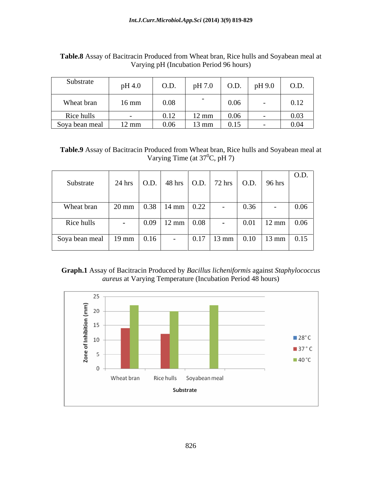| Substrate      | pH 4.0          | O.D. | pH 7.0          | O.D. | pH 9.0 | O.D. |
|----------------|-----------------|------|-----------------|------|--------|------|
| Wheat bran     | $16 \text{ mm}$ | 0.08 |                 | 0.06 |        | 0.12 |
| Rice hulls     |                 | 0.12 | $12 \text{ mm}$ | 0.06 |        | 0.03 |
| Soya bean meal | $12 \text{ mm}$ | 0.06 | $13 \text{ mm}$ | 0.15 |        | 0.04 |

**Table.8** Assay of Bacitracin Produced from Wheat bran, Rice hulls and Soyabean meal at Varying pH (Incubation Period 96 hours)

**Table.9** Assay of Bacitracin Produced from Wheat bran, Rice hulls and Soyabean meal at Varying Time (at  $37^0C$ , pH 7)

| 24 hrs   O.D.   48 hrs   O.D.   72 hrs   O.D.   96 hrs  <br>Substrate     | $\cup$ O.D.                                                                        |
|---------------------------------------------------------------------------|------------------------------------------------------------------------------------|
|                                                                           |                                                                                    |
| 20 mm   0.38   14 mm   0.22  <br>Wheat bran                               | 0.36<br>$\vert 0.06 \vert$                                                         |
| $\vert 0.09 \vert 12 \overline{\text{mm}} \vert 0.08 \vert$<br>Rice hulls | $\begin{array}{ c c c c c } \hline 0.01 & 12 \text{ mm} & 0.06 \hline \end{array}$ |
| Soya bean meal   19 mm   0.16                                             | $\vert$ 0.17   13 mm   0.10   13 mm   0.15                                         |

## **Graph.1** Assay of Bacitracin Produced by *Bacillus licheniformis* against *Staphylococcus aureus* at Varying Temperature (Incubation Period 48 hours)

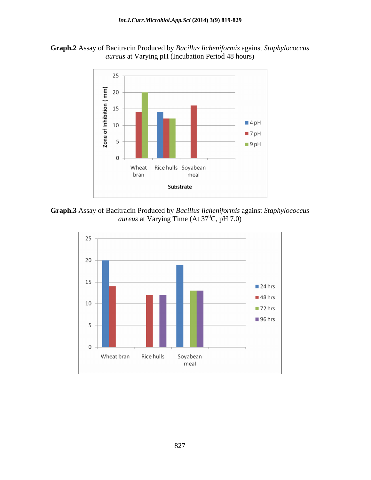



**Graph.3** Assay of Bacitracin Produced by *Bacillus licheniformis* against *Staphylococcus aureus* at Varying Time (At 37<sup>0</sup>C, pH 7.0)

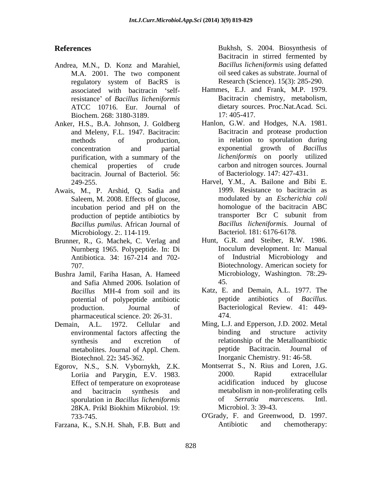- Andrea, M.N., D. Konz and Marahiel, M.A. 2001. The two component regulatory system of BacRS is Research (Science). 15(3): 285-290. resistance of *Bacillus licheniformis* ATCC 10716. Eur. Journal of Biochem. 268: 3180-3189. 17: 405-417.
- Anker, H.S., B.A. Johnson, J. Goldberg and Meleny, F.L. 1947. Bacitracin: bacitracin. Journal of Bacteriol*.* 56:
- Awais, M., P. Arshid, Q. Sadia and Saleem, M. 2008. Effects of glucose, *Bacillus pumilus*. African Journal of *Bacillus licheniformis*. Journal of *Bacillus licheniformis*. Journal *Bacteriol*. 181: 6176-6178. Microbiology. 2:. 114-119.
- Brunner, R., G. Machek, C. Verlag and Hunt, G.R. and Steiber, R.W. 1986. Antibiotica. 34: 167-214 and 702-
- Bushra Jamil, Fariha Hasan, A. Hameed and Safia Ahmed 2006. Isolation of potential of polypeptide antibiotic pharmaceutical science. 20: 26-31. 474.
- 
- Egorov, N.S., S.N. Vybornykh, Z.K. Effect of temperature on exoprotease 28KA. Prikl Biokhim Mikrobiol. 19:
- 

**References** Bukhsh, S. 2004. Biosynthesis of Bacitracin in stirred fermented by *Bacillus licheniformis* using defatted oil seed cakes as substrate. Journal of Research (Science). 15(3): 285-290.

- associated with bacitracin 'self-<br>Hammes, E.J. and Frank, M.P. 1979. Bacitracin chemistry, metabolism, dietary sources. Proc.Nat.Acad. Sci. 17: 405-417.
- methods of production, in relation to sporulation during concentration and partial exponential growth of *Bacillus*  purification, with a summary of the *licheniformis* on poorly utilized chemical properties of crude carbon and nitrogen sources. Journal Hanlon, G.W. and Hodges, N.A. 1981. Bacitracin and protease production of Bacteriology. 147: 427-431.
- 249-255. Harvel, Y.M., A. Bailone and Bibi E. incubation period and pH on the production of peptide antibiotics by transporter Bcr C subunit from 1999. Resistance to bacitracin as modulated by an *Escherichia coli* homologue of the bacitracin ABC transporter Bcr C subunit from *Bacillus licheniformis.* Journal of
- Nurnberg 1965. Polypeptide. In: Di 707. Biotechnology. American society for Bacteriol. 181: 6176-6178. Hunt, G.R. and Steiber, R.W. 1986. Inoculum development. In: Manual of Industrial Microbiology and Microbiology, Washington. 78:.29- 45.
- *Bacillus* MH-4 from soil and its production. Journal of Bacteriological Review. 41: 449- Katz, E. and Demain, A.L. 1977. The antibiotics of *Bacillus*. 474.
- Demain, A.L. 1972. Cellular and Ming, L.J. and Epperson, J.D. 2002. Metal environmental factors affecting the binding and structure activity synthesis and excretion of relationship of the Metalloantibiotic metabolites. Journal of Appl. Chem. Biotechnol. 22**:** 345-362. Inorganic Chemistry. 91: 46-58. binding and structure activity peptide Bacitracin. Journal of
	- Loriia and Parygin, E.V. 1983. and bacitracin synthesis and sporulation in *Bacillus licheniformis* Montserrat S., N. Rius and Loren, J.G. 2000. Rapid extracellular acidification induced by glucose metabolism in non-proliferating cells of *Serratia marcescens.* Intl. Microbiol. 3: 39-43.
- 733-745. O'Grady, F. and Greenwood, D. 1997. Farzana, K., S.N.H. Shah, F.B. Butt and Antibiotic and chemotherapy: Antibiotic and chemotherapy: